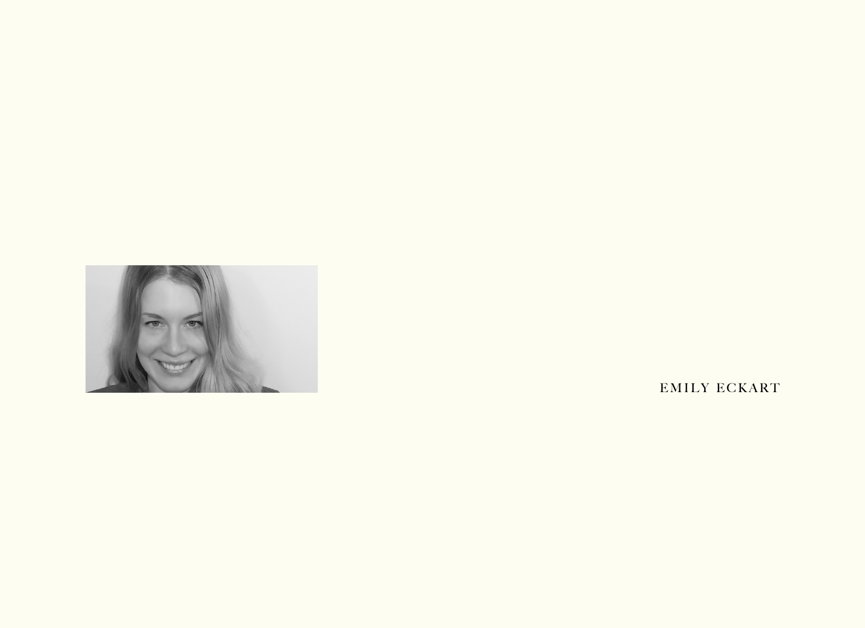

EMILY ECKART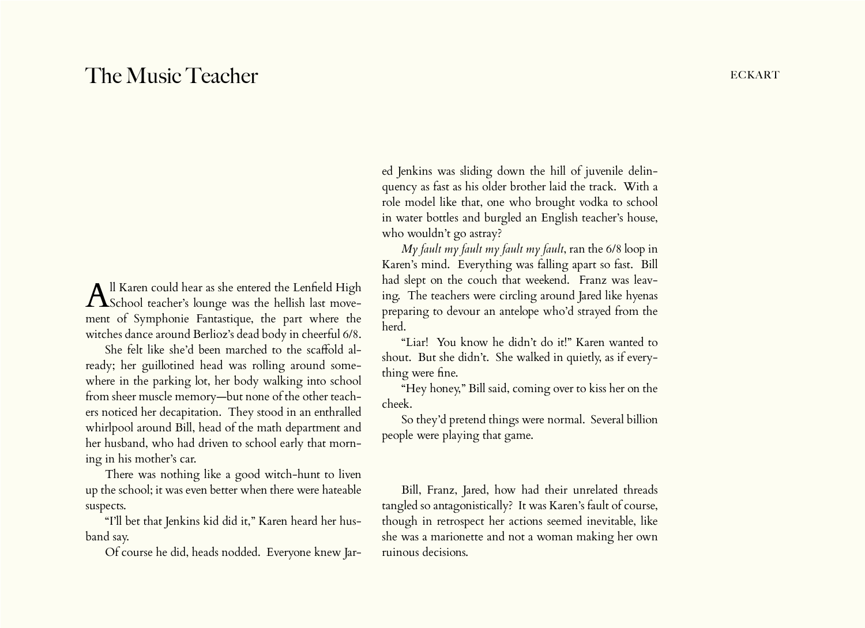## The Music Teacher **Eckart** Eckart

All Karen could hear as she entered the Lenfield High  $\Lambda$ School teacher's lounge was the hellish last movement of Symphonie Fantastique, the part where the witches dance around Berlioz's dead body in cheerful 6/8.

She felt like she'd been marched to the scaffold already; her guillotined head was rolling around somewhere in the parking lot, her body walking into school from sheer muscle memory—but none of the other teachers noticed her decapitation. They stood in an enthralled whirlpool around Bill, head of the math department and her husband, who had driven to school early that morning in his mother's car.

There was nothing like a good witch-hunt to liven up the school; it was even better when there were hateable suspects.

"I'll bet that Jenkins kid did it," Karen heard her husband say.

Of course he did, heads nodded. Everyone knew Jar-

ed Jenkins was sliding down the hill of juvenile delinquency as fast as his older brother laid the track. With a role model like that, one who brought vodka to school in water bottles and burgled an English teacher's house, who wouldn't go astray?

*My fault my fault my fault my fault*, ran the 6/8 loop in Karen's mind. Everything was falling apart so fast. Bill had slept on the couch that weekend. Franz was leaving. The teachers were circling around Jared like hyenas preparing to devour an antelope who'd strayed from the herd.

"Liar! You know he didn't do it!" Karen wanted to shout. But she didn't. She walked in quietly, as if everything were fine.

"Hey honey," Bill said, coming over to kiss her on the cheek.

So they'd pretend things were normal. Several billion people were playing that game.

Bill, Franz, Jared, how had their unrelated threads tangled so antagonistically? It was Karen's fault of course, though in retrospect her actions seemed inevitable, like she was a marionette and not a woman making her own ruinous decisions.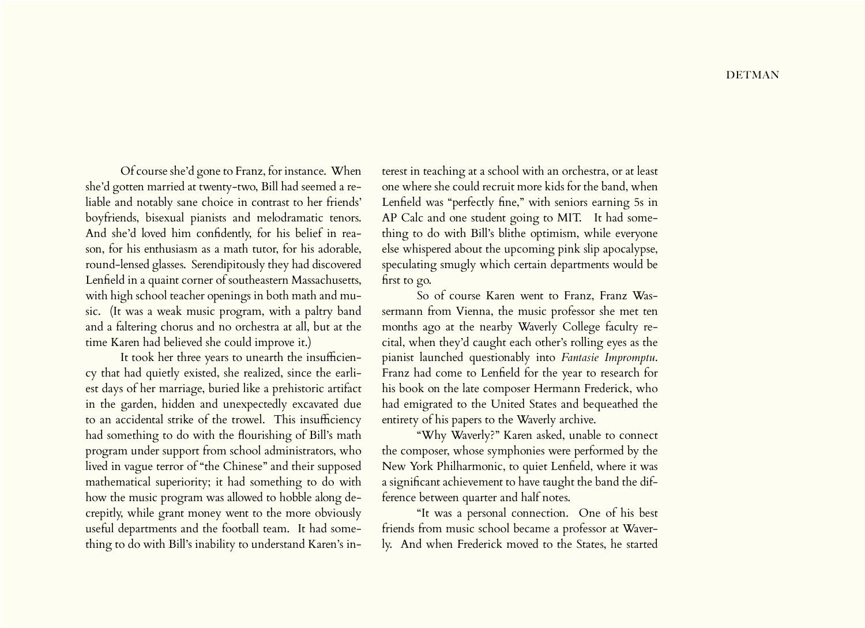Of course she'd gone to Franz, for instance. When she'd gotten married at twenty-two, Bill had seemed a reliable and notably sane choice in contrast to her friends' boyfriends, bisexual pianists and melodramatic tenors. And she'd loved him confidently, for his belief in reason, for his enthusiasm as a math tutor, for his adorable, round-lensed glasses. Serendipitously they had discovered Lenfield in a quaint corner of southeastern Massachusetts, with high school teacher openings in both math and music. (It was a weak music program, with a paltry band and a faltering chorus and no orchestra at all, but at the time Karen had believed she could improve it.)

It took her three years to unearth the insufficiency that had quietly existed, she realized, since the earliest days of her marriage, buried like a prehistoric artifact in the garden, hidden and unexpectedly excavated due to an accidental strike of the trowel. This insufficiency had something to do with the flourishing of Bill's math program under support from school administrators, who lived in vague terror of "the Chinese" and their supposed mathematical superiority; it had something to do with how the music program was allowed to hobble along decrepitly, while grant money went to the more obviously useful departments and the football team. It had something to do with Bill's inability to understand Karen's in-

terest in teaching at a school with an orchestra, or at least one where she could recruit more kids for the band, when Lenfield was "perfectly fine," with seniors earning 5s in AP Calc and one student going to MIT. It had something to do with Bill's blithe optimism, while everyone else whispered about the upcoming pink slip apocalypse, speculating smugly which certain departments would be first to go.

So of course Karen went to Franz, Franz Wassermann from Vienna, the music professor she met ten months ago at the nearby Waverly College faculty recital, when they'd caught each other's rolling eyes as the pianist launched questionably into *Fantasie Impromptu*. Franz had come to Lenfield for the year to research for his book on the late composer Hermann Frederick, who had emigrated to the United States and bequeathed the entirety of his papers to the Waverly archive.

"Why Waverly?" Karen asked, unable to connect the composer, whose symphonies were performed by the New York Philharmonic, to quiet Lenfield, where it was a significant achievement to have taught the band the difference between quarter and half notes.

"It was a personal connection. One of his best friends from music school became a professor at Waverly. And when Frederick moved to the States, he started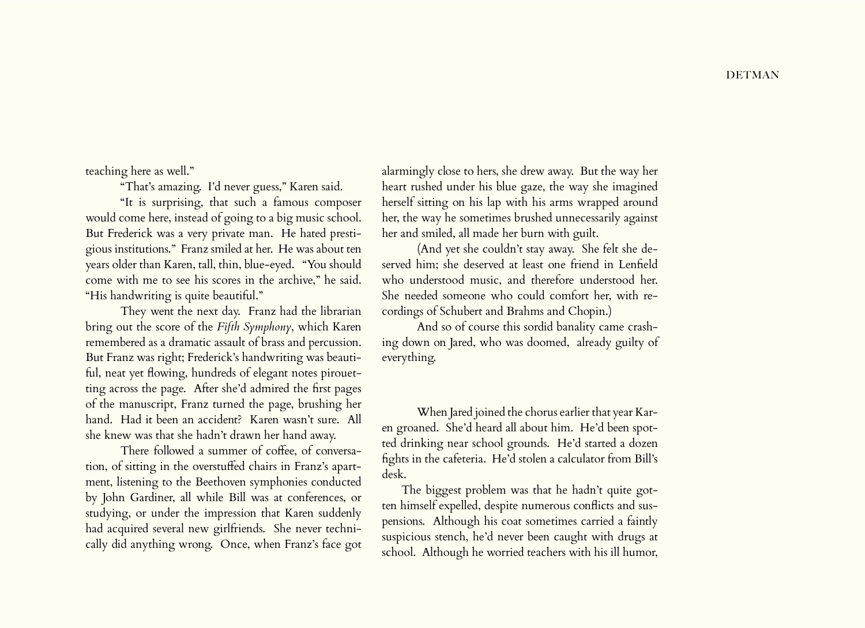teaching here as well."

"That's amazing. I'd never guess," Karen said.

"It is surprising, that such a famous composer would come here, instead of going to a big music school. But Frederick was a very private man. He hated prestigious institutions." Franz smiled at her. He was about ten years older than Karen, tall, thin, blue-eyed. "You should come with me to see his scores in the archive," he said. "His handwriting is quite beautiful."

They went the next day. Franz had the librarian bring out the score of the *Fifth Symphony*, which Karen remembered as a dramatic assault of brass and percussion. But Franz was right; Frederick's handwriting was beautiful, neat yet flowing, hundreds of elegant notes pirouetting across the page. After she'd admired the first pages of the manuscript, Franz turned the page, brushing her hand. Had it been an accident? Karen wasn't sure. All she knew was that she hadn't drawn her hand away.

There followed a summer of coffee, of conversation, of sitting in the overstuffed chairs in Franz's apartment, listening to the Beethoven symphonies conducted by John Gardiner, all while Bill was at conferences, or studying, or under the impression that Karen suddenly had acquired several new girlfriends. She never technically did anything wrong. Once, when Franz's face got alarmingly close to hers, she drew away. But the way her heart rushed under his blue gaze, the way she imagined herself sitting on his lap with his arms wrapped around her, the way he sometimes brushed unnecessarily against her and smiled, all made her burn with guilt.

(And yet she couldn't stay away. She felt she deserved him; she deserved at least one friend in Lenfield who understood music, and therefore understood her. She needed someone who could comfort her, with recordings of Schubert and Brahms and Chopin.)

And so of course this sordid banality came crashing down on Jared, who was doomed, already guilty of everything.

When Jared joined the chorus earlier that year Karen groaned. She'd heard all about him. He'd been spotted drinking near school grounds. He'd started a dozen fights in the cafeteria. He'd stolen a calculator from Bill's desk.

The biggest problem was that he hadn't quite gotten himself expelled, despite numerous conflicts and suspensions. Although his coat sometimes carried a faintly suspicious stench, he'd never been caught with drugs at school. Although he worried teachers with his ill humor,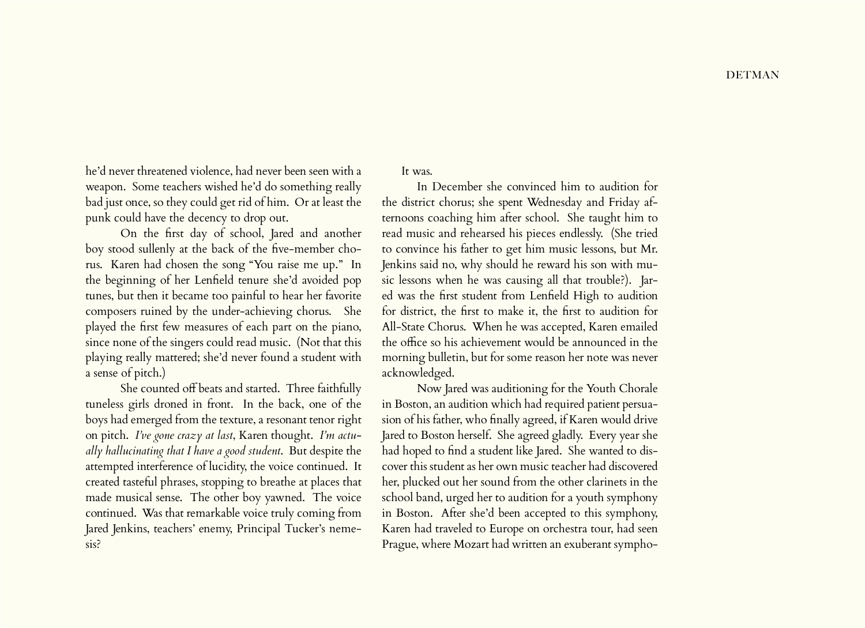he'd never threatened violence, had never been seen with a weapon. Some teachers wished he'd do something really bad just once, so they could get rid of him. Or at least the punk could have the decency to drop out.

On the first day of school, Jared and another boy stood sullenly at the back of the five-member chorus. Karen had chosen the song "You raise me up." In the beginning of her Lenfield tenure she'd avoided pop tunes, but then it became too painful to hear her favorite composers ruined by the under-achieving chorus. She played the first few measures of each part on the piano, since none of the singers could read music. (Not that this playing really mattered; she'd never found a student with a sense of pitch.)

She counted off beats and started. Three faithfully tuneless girls droned in front. In the back, one of the boys had emerged from the texture, a resonant tenor right on pitch. *I've gone crazy at last*, Karen thought. *I'm actually hallucinating that I have a good student*. But despite the attempted interference of lucidity, the voice continued. It created tasteful phrases, stopping to breathe at places that made musical sense. The other boy yawned. The voice continued. Was that remarkable voice truly coming from Jared Jenkins, teachers' enemy, Principal Tucker's nemesis?

It was.

In December she convinced him to audition for the district chorus; she spent Wednesday and Friday afternoons coaching him after school. She taught him to read music and rehearsed his pieces endlessly. (She tried to convince his father to get him music lessons, but Mr. Jenkins said no, why should he reward his son with music lessons when he was causing all that trouble?). Jared was the first student from Lenfield High to audition for district, the first to make it, the first to audition for All-State Chorus. When he was accepted, Karen emailed the office so his achievement would be announced in the morning bulletin, but for some reason her note was never acknowledged.

Now Jared was auditioning for the Youth Chorale in Boston, an audition which had required patient persuasion of his father, who finally agreed, if Karen would drive Jared to Boston herself. She agreed gladly. Every year she had hoped to find a student like Jared. She wanted to discover this student as her own music teacher had discovered her, plucked out her sound from the other clarinets in the school band, urged her to audition for a youth symphony in Boston. After she'd been accepted to this symphony, Karen had traveled to Europe on orchestra tour, had seen Prague, where Mozart had written an exuberant sympho-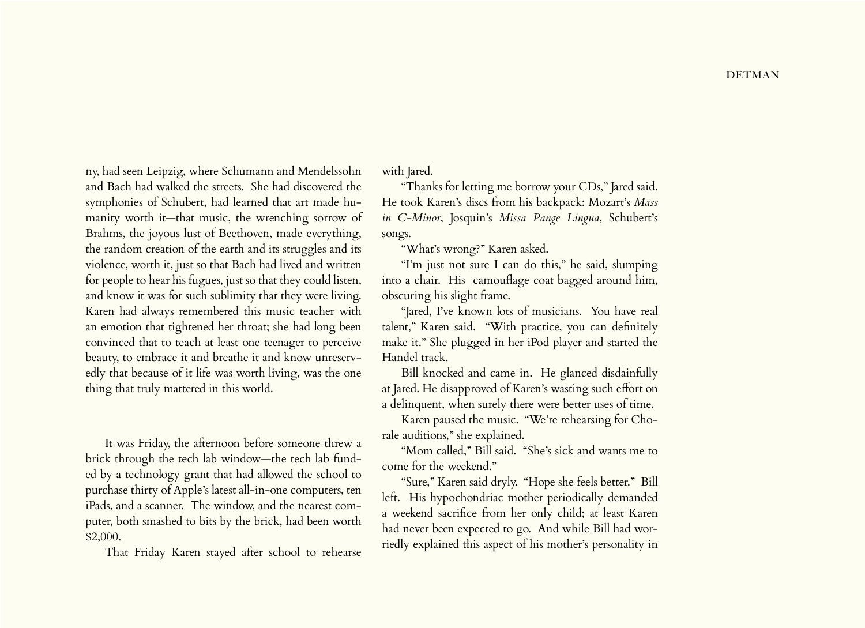ny, had seen Leipzig, where Schumann and Mendelssohn and Bach had walked the streets. She had discovered the symphonies of Schubert, had learned that art made humanity worth it—that music, the wrenching sorrow of Brahms, the joyous lust of Beethoven, made everything, the random creation of the earth and its struggles and its violence, worth it, just so that Bach had lived and written for people to hear his fugues, just so that they could listen, and know it was for such sublimity that they were living. Karen had always remembered this music teacher with an emotion that tightened her throat; she had long been convinced that to teach at least one teenager to perceive beauty, to embrace it and breathe it and know unreservedly that because of it life was worth living, was the one thing that truly mattered in this world.

It was Friday, the afternoon before someone threw a brick through the tech lab window—the tech lab funded by a technology grant that had allowed the school to purchase thirty of Apple's latest all-in-one computers, ten iPads, and a scanner. The window, and the nearest computer, both smashed to bits by the brick, had been worth \$2,000.

That Friday Karen stayed after school to rehearse

with Jared.

"Thanks for letting me borrow your CDs," Jared said. He took Karen's discs from his backpack: Mozart's *Mass in C-Minor*, Josquin's *Missa Pange Lingua*, Schubert's songs.

"What's wrong?" Karen asked.

"I'm just not sure I can do this," he said, slumping into a chair. His camouflage coat bagged around him, obscuring his slight frame.

"Jared, I've known lots of musicians. You have real talent," Karen said. "With practice, you can definitely make it." She plugged in her iPod player and started the Handel track.

Bill knocked and came in. He glanced disdainfully at Jared. He disapproved of Karen's wasting such effort on a delinquent, when surely there were better uses of time.

Karen paused the music. "We're rehearsing for Chorale auditions," she explained.

"Mom called," Bill said. "She's sick and wants me to come for the weekend."

"Sure," Karen said dryly. "Hope she feels better." Bill left. His hypochondriac mother periodically demanded a weekend sacrifice from her only child; at least Karen had never been expected to go. And while Bill had worriedly explained this aspect of his mother's personality in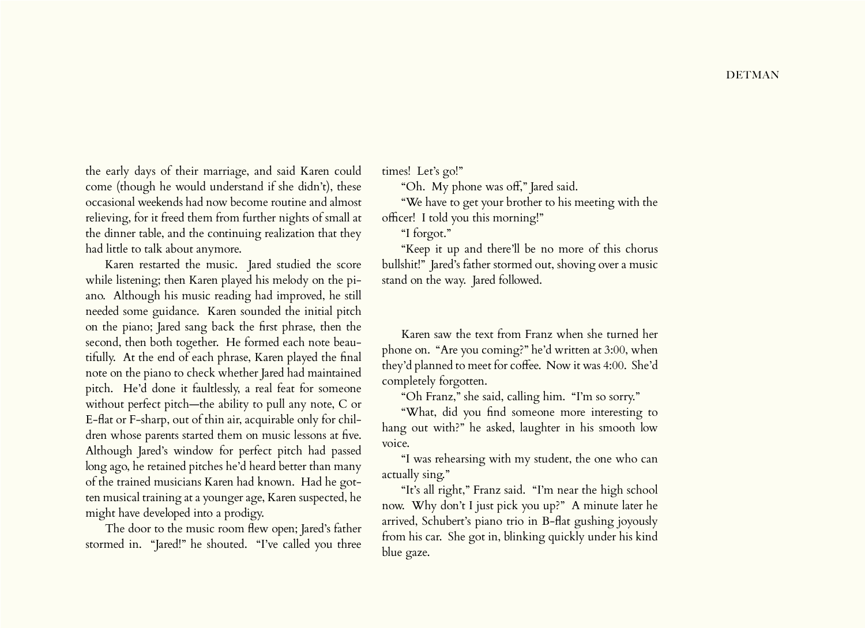the early days of their marriage, and said Karen could come (though he would understand if she didn't), these occasional weekends had now become routine and almost relieving, for it freed them from further nights of small at the dinner table, and the continuing realization that they had little to talk about anymore.

Karen restarted the music. Jared studied the score while listening; then Karen played his melody on the piano. Although his music reading had improved, he still needed some guidance. Karen sounded the initial pitch on the piano; Jared sang back the first phrase, then the second, then both together. He formed each note beautifully. At the end of each phrase, Karen played the final note on the piano to check whether Jared had maintained pitch. He'd done it faultlessly, a real feat for someone without perfect pitch—the ability to pull any note, C or E-flat or F-sharp, out of thin air, acquirable only for children whose parents started them on music lessons at five. Although Jared's window for perfect pitch had passed long ago, he retained pitches he'd heard better than many of the trained musicians Karen had known. Had he gotten musical training at a younger age, Karen suspected, he might have developed into a prodigy.

The door to the music room flew open; Jared's father stormed in. "Jared!" he shouted. "I've called you three times! Let's go!"

"Oh. My phone was off," Jared said.

"We have to get your brother to his meeting with the officer! I told you this morning!"

"I forgot."

"Keep it up and there'll be no more of this chorus bullshit!" Jared's father stormed out, shoving over a music stand on the way. Jared followed.

Karen saw the text from Franz when she turned her phone on. "Are you coming?" he'd written at 3:00, when they'd planned to meet for coffee. Now it was 4:00. She'd completely forgotten.

"Oh Franz," she said, calling him. "I'm so sorry."

"What, did you find someone more interesting to hang out with?" he asked, laughter in his smooth low voice.

"I was rehearsing with my student, the one who can actually sing."

"It's all right," Franz said. "I'm near the high school now. Why don't I just pick you up?" A minute later he arrived, Schubert's piano trio in B-flat gushing joyously from his car. She got in, blinking quickly under his kind blue gaze.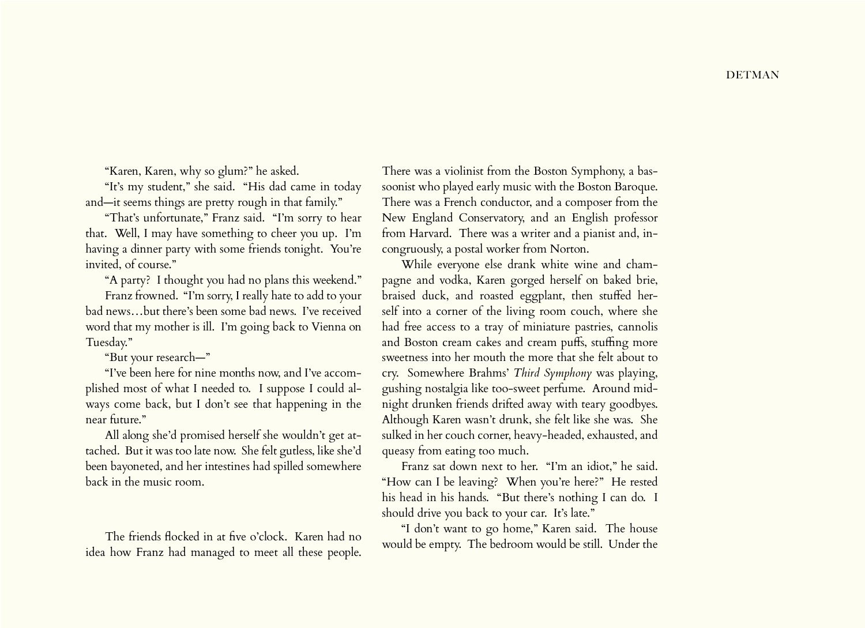"Karen, Karen, why so glum?" he asked.

"It's my student," she said. "His dad came in today and—it seems things are pretty rough in that family."

"That's unfortunate," Franz said. "I'm sorry to hear that. Well, I may have something to cheer you up. I'm having a dinner party with some friends tonight. You're invited, of course."

"A party? I thought you had no plans this weekend."

Franz frowned. "I'm sorry, I really hate to add to your bad news…but there's been some bad news. I've received word that my mother is ill. I'm going back to Vienna on Tuesday."

"But your research—"

"I've been here for nine months now, and I've accomplished most of what I needed to. I suppose I could always come back, but I don't see that happening in the near future."

All along she'd promised herself she wouldn't get attached. But it was too late now. She felt gutless, like she'd been bayoneted, and her intestines had spilled somewhere back in the music room.

The friends flocked in at five o'clock. Karen had no idea how Franz had managed to meet all these people.

There was a violinist from the Boston Symphony, a bassoonist who played early music with the Boston Baroque. There was a French conductor, and a composer from the New England Conservatory, and an English professor from Harvard. There was a writer and a pianist and, incongruously, a postal worker from Norton.

While everyone else drank white wine and champagne and vodka, Karen gorged herself on baked brie, braised duck, and roasted eggplant, then stuffed herself into a corner of the living room couch, where she had free access to a tray of miniature pastries, cannolis and Boston cream cakes and cream puffs, stuffing more sweetness into her mouth the more that she felt about to cry. Somewhere Brahms' *Third Symphony* was playing, gushing nostalgia like too-sweet perfume. Around midnight drunken friends drifted away with teary goodbyes. Although Karen wasn't drunk, she felt like she was. She sulked in her couch corner, heavy-headed, exhausted, and queasy from eating too much.

Franz sat down next to her. "I'm an idiot," he said. "How can I be leaving? When you're here?" He rested his head in his hands. "But there's nothing I can do. I should drive you back to your car. It's late."

"I don't want to go home," Karen said. The house would be empty. The bedroom would be still. Under the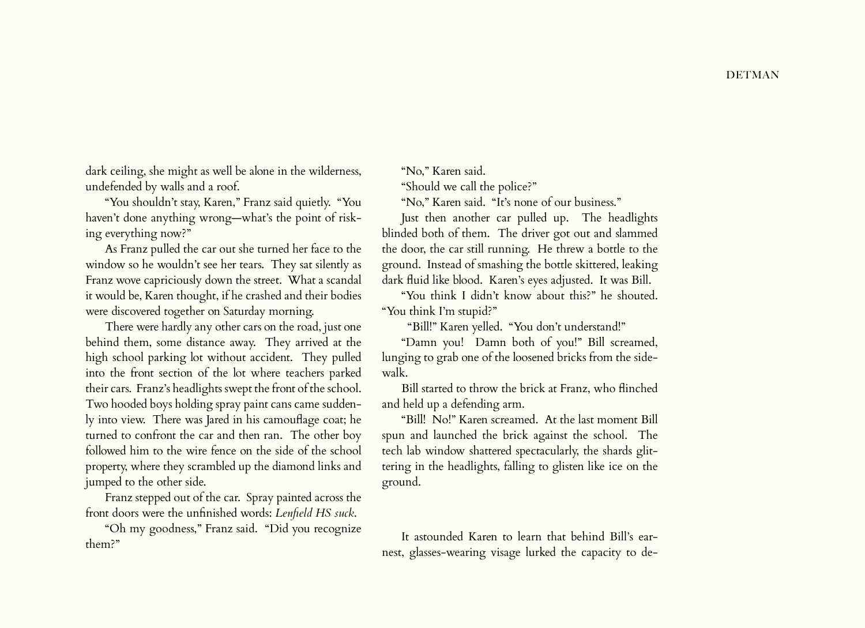dark ceiling, she might as well be alone in the wilderness, undefended by walls and a roof.

"You shouldn't stay, Karen," Franz said quietly. "You haven't done anything wrong—what's the point of risking everything now?"

As Franz pulled the car out she turned her face to the window so he wouldn't see her tears. They sat silently as Franz wove capriciously down the street. What a scandal it would be, Karen thought, if he crashed and their bodies were discovered together on Saturday morning.

There were hardly any other cars on the road, just one behind them, some distance away. They arrived at the high school parking lot without accident. They pulled into the front section of the lot where teachers parked their cars. Franz's headlights swept the front of the school. Two hooded boys holding spray paint cans came suddenly into view. There was Jared in his camouflage coat; he turned to confront the car and then ran. The other boy followed him to the wire fence on the side of the school property, where they scrambled up the diamond links and jumped to the other side.

Franz stepped out of the car. Spray painted across the front doors were the unfinished words: *Lenfield HS suck*.

"Oh my goodness," Franz said. "Did you recognize them?"

"No," Karen said.

"Should we call the police?"

"No," Karen said. "It's none of our business."

Just then another car pulled up. The headlights blinded both of them. The driver got out and slammed the door, the car still running. He threw a bottle to the ground. Instead of smashing the bottle skittered, leaking dark fluid like blood. Karen's eyes adjusted. It was Bill.

"You think I didn't know about this?" he shouted. "You think I'm stupid?"

"Bill!" Karen yelled. "You don't understand!"

"Damn you! Damn both of you!" Bill screamed, lunging to grab one of the loosened bricks from the sidewalk.

Bill started to throw the brick at Franz, who flinched and held up a defending arm.

"Bill! No!" Karen screamed. At the last moment Bill spun and launched the brick against the school. The tech lab window shattered spectacularly, the shards glittering in the headlights, falling to glisten like ice on the ground.

It astounded Karen to learn that behind Bill's earnest, glasses-wearing visage lurked the capacity to de-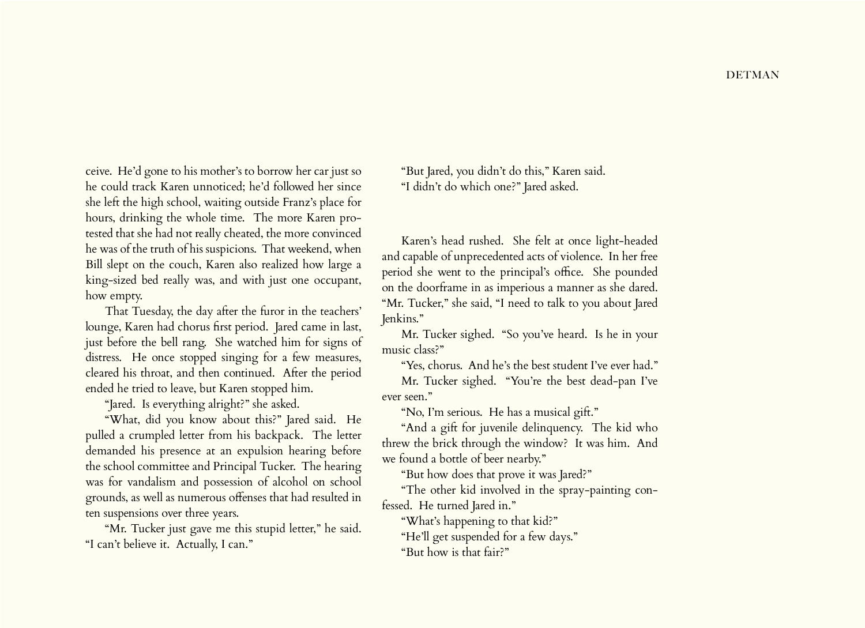ceive. He'd gone to his mother's to borrow her car just so he could track Karen unnoticed; he'd followed her since she left the high school, waiting outside Franz's place for hours, drinking the whole time. The more Karen protested that she had not really cheated, the more convinced he was of the truth of his suspicions. That weekend, when Bill slept on the couch, Karen also realized how large a king-sized bed really was, and with just one occupant, how empty.

That Tuesday, the day after the furor in the teachers' lounge, Karen had chorus first period. Jared came in last, just before the bell rang. She watched him for signs of distress. He once stopped singing for a few measures, cleared his throat, and then continued. After the period ended he tried to leave, but Karen stopped him.

"Jared. Is everything alright?" she asked.

"What, did you know about this?" Jared said. He pulled a crumpled letter from his backpack. The letter demanded his presence at an expulsion hearing before the school committee and Principal Tucker. The hearing was for vandalism and possession of alcohol on school grounds, as well as numerous offenses that had resulted in ten suspensions over three years.

"Mr. Tucker just gave me this stupid letter," he said. "I can't believe it. Actually, I can."

"But Jared, you didn't do this," Karen said. "I didn't do which one?" Jared asked.

Karen's head rushed. She felt at once light-headed and capable of unprecedented acts of violence. In her free period she went to the principal's office. She pounded on the doorframe in as imperious a manner as she dared. "Mr. Tucker," she said, "I need to talk to you about Jared Jenkins."

Mr. Tucker sighed. "So you've heard. Is he in your music class?"

"Yes, chorus. And he's the best student I've ever had." Mr. Tucker sighed. "You're the best dead-pan I've ever seen."

"No, I'm serious. He has a musical gift."

"And a gift for juvenile delinquency. The kid who threw the brick through the window? It was him. And we found a bottle of beer nearby."

"But how does that prove it was Jared?"

"The other kid involved in the spray-painting confessed. He turned Jared in."

"What's happening to that kid?"

"He'll get suspended for a few days."

"But how is that fair?"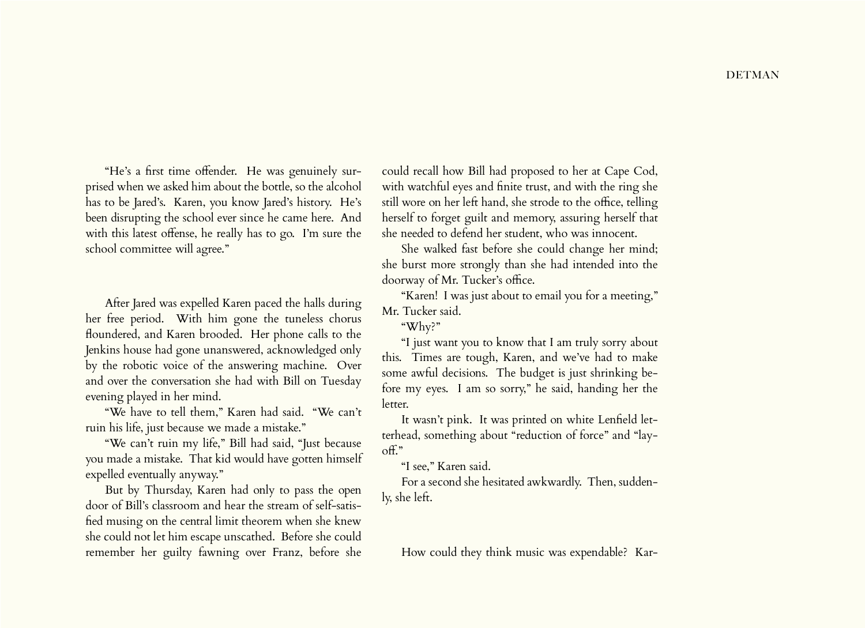"He's a first time offender. He was genuinely surprised when we asked him about the bottle, so the alcohol has to be Jared's. Karen, you know Jared's history. He's been disrupting the school ever since he came here. And with this latest offense, he really has to go. I'm sure the school committee will agree."

After Jared was expelled Karen paced the halls during her free period. With him gone the tuneless chorus floundered, and Karen brooded. Her phone calls to the Jenkins house had gone unanswered, acknowledged only by the robotic voice of the answering machine. Over and over the conversation she had with Bill on Tuesday evening played in her mind.

"We have to tell them," Karen had said. "We can't ruin his life, just because we made a mistake."

"We can't ruin my life," Bill had said, "Just because you made a mistake. That kid would have gotten himself expelled eventually anyway."

But by Thursday, Karen had only to pass the open door of Bill's classroom and hear the stream of self-satisfied musing on the central limit theorem when she knew she could not let him escape unscathed. Before she could remember her guilty fawning over Franz, before she

could recall how Bill had proposed to her at Cape Cod, with watchful eyes and finite trust, and with the ring she still wore on her left hand, she strode to the office, telling herself to forget guilt and memory, assuring herself that she needed to defend her student, who was innocent.

She walked fast before she could change her mind; she burst more strongly than she had intended into the doorway of Mr. Tucker's office.

"Karen! I was just about to email you for a meeting," Mr. Tucker said.

"Why?"

"I just want you to know that I am truly sorry about this. Times are tough, Karen, and we've had to make some awful decisions. The budget is just shrinking before my eyes. I am so sorry," he said, handing her the letter.

It wasn't pink. It was printed on white Lenfield letterhead, something about "reduction of force" and "layoff."

"I see," Karen said.

For a second she hesitated awkwardly. Then, suddenly, she left.

How could they think music was expendable? Kar-